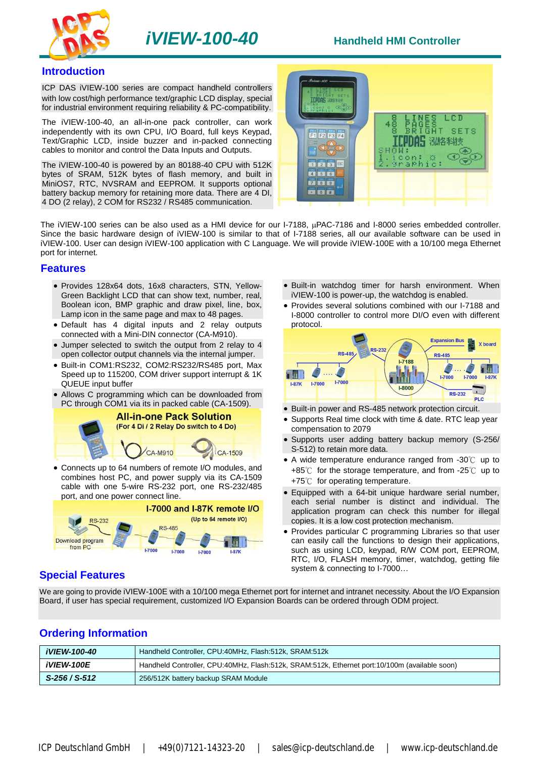

#### **Introduction**

ICP DAS iVIEW-100 series are compact handheld controllers with low cost/high performance text/graphic LCD display, special for industrial environment requiring reliability & PC-compatibility.

The iVIEW-100-40, an all-in-one pack controller, can work independently with its own CPU, I/O Board, full keys Keypad, Text/Graphic LCD, inside buzzer and in-packed connecting cables to monitor and control the Data Inputs and Outputs.

The iVIEW-100-40 is powered by an 80188-40 CPU with 512K bytes of SRAM, 512K bytes of flash memory, and built in MiniOS7, RTC, NVSRAM and EEPROM. It supports optional battery backup memory for retaining more data. There are 4 DI, 4 DO (2 relay), 2 COM for RS232 / RS485 communication.



The iVIEW-100 series can be also used as a HMI device for our I-7188, uPAC-7186 and I-8000 series embedded controller. Since the basic hardware design of iVIEW-100 is similar to that of I-7188 series, all our available software can be used in iVIEW-100. User can design iVIEW-100 application with C Language. We will provide iVIEW-100E with a 10/100 mega Ethernet port for internet.

#### **Features**

- Provides 128x64 dots, 16x8 characters, STN, Yellow-Green Backlight LCD that can show text, number, real, Boolean icon, BMP graphic and draw pixel, line, box, Lamp icon in the same page and max to 48 pages.
- Default has 4 digital inputs and 2 relay outputs connected with a Mini-DIN connector (CA-M910).
- Jumper selected to switch the output from 2 relay to 4 open collector output channels via the internal jumper.
- Built-in COM1:RS232, COM2:RS232/RS485 port, Max Speed up to 115200, COM driver support interrupt & 1K QUEUE input buffer
- Allows C programming which can be downloaded from PC through COM1 via its in packed cable (CA-1509).



 Connects up to 64 numbers of remote I/O modules, and combines host PC, and power supply via its CA-1509 cable with one 5-wire RS-232 port, one RS-232/485 port, and one power connect line.



- Built-in watchdog timer for harsh environment. When iVIEW-100 is power-up, the watchdog is enabled.
- Provides several solutions combined with our I-7188 and I-8000 controller to control more DI/O even with different protocol.



- Built-in power and RS-485 network protection circuit.
- Supports Real time clock with time & date. RTC leap year compensation to 2079
- Supports user adding battery backup memory (S-256/ S-512) to retain more data.
- A wide temperature endurance ranged from -30℃ up to +85℃ for the storage temperature, and from -25℃ up to +75℃ for operating temperature.
- Equipped with a 64-bit unique hardware serial number, each serial number is distinct and individual. The application program can check this number for illegal copies. It is a low cost protection mechanism.
- Provides particular C programming Libraries so that user can easily call the functions to design their applications, such as using LCD, keypad, R/W COM port, EEPROM, RTC, I/O, FLASH memory, timer, watchdog, getting file system & connecting to I-7000…

## **Special Features**

We are going to provide iVIEW-100E with a 10/100 mega Ethernet port for internet and intranet necessity. About the I/O Expansion Board, if user has special requirement, customized I/O Expansion Boards can be ordered through ODM project.

## **Ordering Information**

| <i><b>iVIEW-100-40</b></i> | Handheld Controller, CPU: 40MHz, Flash: 512k, SRAM: 512k                                      |
|----------------------------|-----------------------------------------------------------------------------------------------|
| <i><b>iVIEW-100E</b></i>   | Handheld Controller, CPU:40MHz, Flash:512k, SRAM:512k, Ethernet port:10/100m (available soon) |
| $S-256/S-512$              | 256/512K battery backup SRAM Module                                                           |